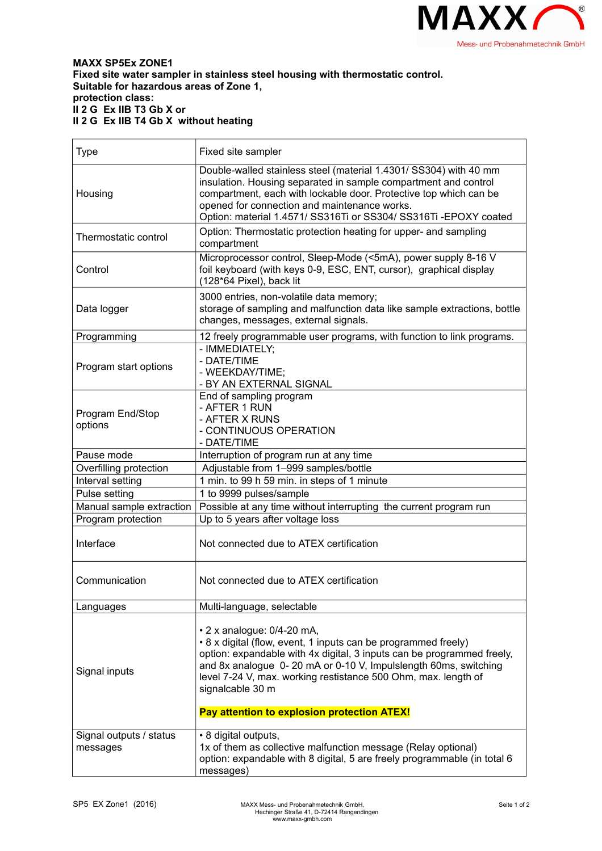

**MAXX SP5Ex ZONE1 Fixed site water sampler in stainless steel housing with thermostatic control. Suitable for hazardous areas of Zone 1, protection class: II 2 G Ex IIB T3 Gb X or II 2 G Ex IIB T4 Gb X without heating**

| <b>Type</b>                         | Fixed site sampler                                                                                                                                                                                                                                                                                                                                                                   |
|-------------------------------------|--------------------------------------------------------------------------------------------------------------------------------------------------------------------------------------------------------------------------------------------------------------------------------------------------------------------------------------------------------------------------------------|
| Housing                             | Double-walled stainless steel (material 1.4301/ SS304) with 40 mm<br>insulation. Housing separated in sample compartment and control<br>compartment, each with lockable door. Protective top which can be<br>opened for connection and maintenance works.<br>Option: material 1.4571/ SS316Ti or SS304/ SS316Ti - EPOXY coated                                                       |
| Thermostatic control                | Option: Thermostatic protection heating for upper- and sampling<br>compartment                                                                                                                                                                                                                                                                                                       |
| Control                             | Microprocessor control, Sleep-Mode (<5mA), power supply 8-16 V<br>foil keyboard (with keys 0-9, ESC, ENT, cursor), graphical display<br>(128*64 Pixel), back lit                                                                                                                                                                                                                     |
| Data logger                         | 3000 entries, non-volatile data memory;<br>storage of sampling and malfunction data like sample extractions, bottle<br>changes, messages, external signals.                                                                                                                                                                                                                          |
| Programming                         | 12 freely programmable user programs, with function to link programs.                                                                                                                                                                                                                                                                                                                |
| Program start options               | - IMMEDIATELY:<br>- DATE/TIME<br>- WEEKDAY/TIME;<br>- BY AN EXTERNAL SIGNAL                                                                                                                                                                                                                                                                                                          |
| Program End/Stop<br>options         | End of sampling program<br>- AFTER 1 RUN<br>- AFTER X RUNS<br>- CONTINUOUS OPERATION<br>- DATE/TIME                                                                                                                                                                                                                                                                                  |
| Pause mode                          | Interruption of program run at any time                                                                                                                                                                                                                                                                                                                                              |
| Overfilling protection              | Adjustable from 1-999 samples/bottle                                                                                                                                                                                                                                                                                                                                                 |
| Interval setting                    | 1 min. to 99 h 59 min. in steps of 1 minute                                                                                                                                                                                                                                                                                                                                          |
| Pulse setting                       | 1 to 9999 pulses/sample                                                                                                                                                                                                                                                                                                                                                              |
| Manual sample extraction            | Possible at any time without interrupting the current program run                                                                                                                                                                                                                                                                                                                    |
| Program protection                  | Up to 5 years after voltage loss                                                                                                                                                                                                                                                                                                                                                     |
| Interface                           | Not connected due to ATEX certification                                                                                                                                                                                                                                                                                                                                              |
| Communication                       | Not connected due to ATEX certification                                                                                                                                                                                                                                                                                                                                              |
| Languages                           | Multi-language, selectable                                                                                                                                                                                                                                                                                                                                                           |
| Signal inputs                       | $\cdot$ 2 x analogue: 0/4-20 mA,<br>• 8 x digital (flow, event, 1 inputs can be programmed freely)<br>option: expandable with 4x digital, 3 inputs can be programmed freely,<br>and 8x analogue 0-20 mA or 0-10 V, Impulslength 60ms, switching<br>level 7-24 V, max. working restistance 500 Ohm, max. length of<br>signalcable 30 m<br>Pay attention to explosion protection ATEX! |
|                                     |                                                                                                                                                                                                                                                                                                                                                                                      |
| Signal outputs / status<br>messages | • 8 digital outputs,<br>1x of them as collective malfunction message (Relay optional)<br>option: expandable with 8 digital, 5 are freely programmable (in total 6<br>messages)                                                                                                                                                                                                       |